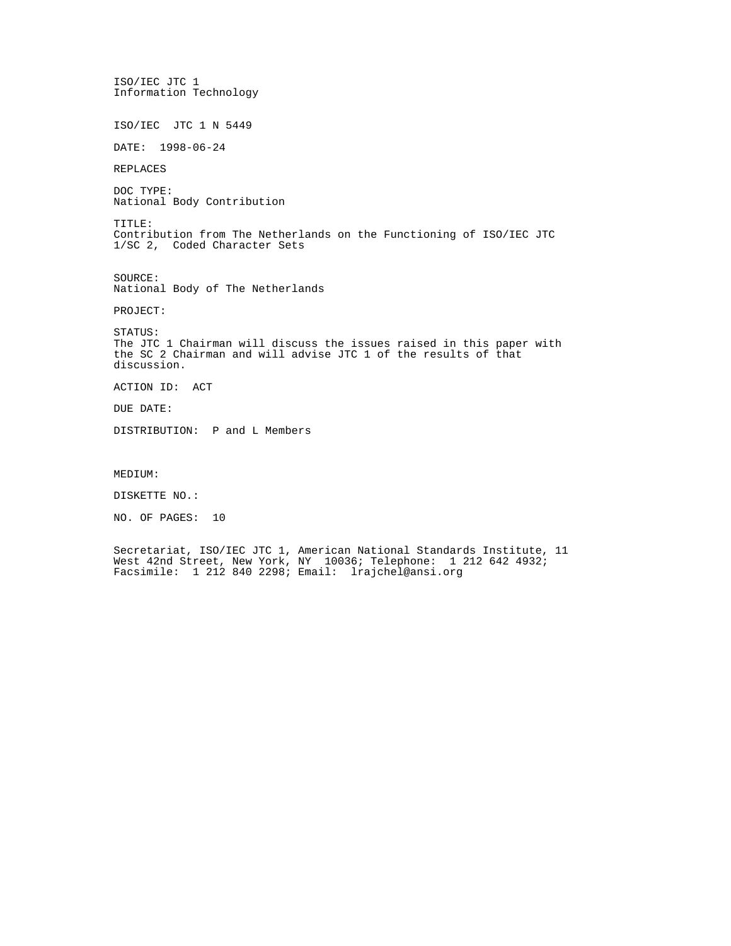ISO/IEC JTC 1 Information Technology ISO/IEC JTC 1 N 5449 DATE: 1998-06-24 REPLACES DOC TYPE: National Body Contribution TITLE: Contribution from The Netherlands on the Functioning of ISO/IEC JTC 1/SC 2, Coded Character Sets SOURCE: National Body of The Netherlands PROJECT: STATUS: The JTC 1 Chairman will discuss the issues raised in this paper with the SC 2 Chairman and will advise JTC 1 of the results of that discussion. ACTION ID: ACT DUE DATE: DISTRIBUTION: P and L Members MEDIUM: DISKETTE NO.: NO. OF PAGES: 10

Secretariat, ISO/IEC JTC 1, American National Standards Institute, 11 West 42nd Street, New York, NY 10036; Telephone: 1 212 642 4932; Facsimile: 1 212 840 2298; Email: lrajchel@ansi.org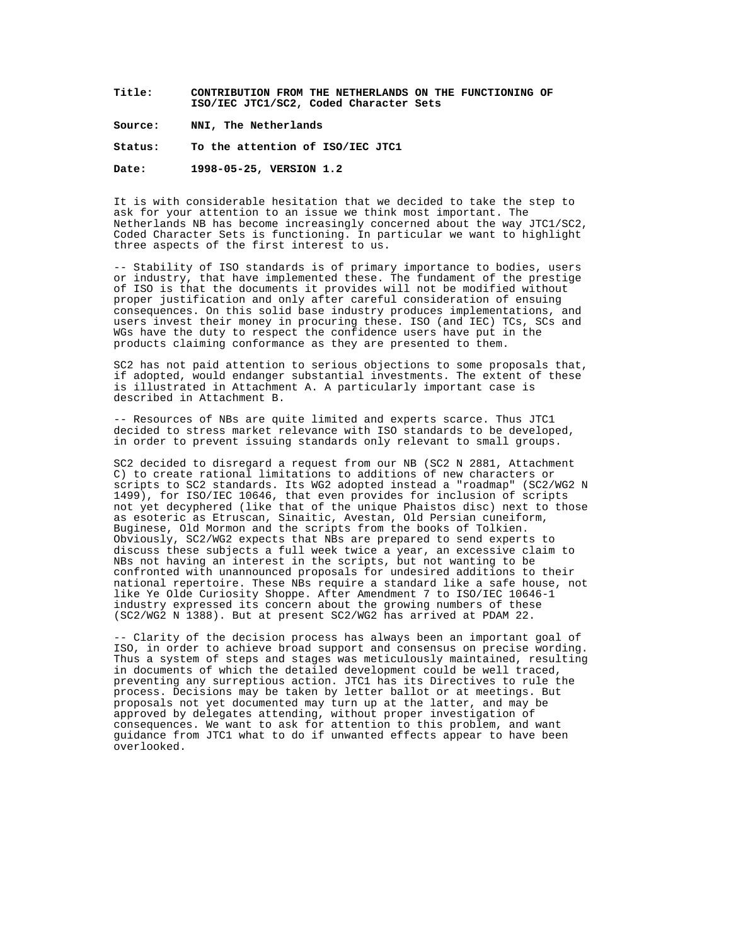**Title: CONTRIBUTION FROM THE NETHERLANDS ON THE FUNCTIONING OF ISO/IEC JTC1/SC2, Coded Character Sets**

**Source: NNI, The Netherlands**

**Status: To the attention of ISO/IEC JTC1**

**Date: 1998-05-25, VERSION 1.2**

It is with considerable hesitation that we decided to take the step to ask for your attention to an issue we think most important. The Netherlands NB has become increasingly concerned about the way JTC1/SC2, Coded Character Sets is functioning. In particular we want to highlight three aspects of the first interest to us.

-- Stability of ISO standards is of primary importance to bodies, users or industry, that have implemented these. The fundament of the prestige of ISO is that the documents it provides will not be modified without proper justification and only after careful consideration of ensuing consequences. On this solid base industry produces implementations, and users invest their money in procuring these. ISO (and IEC) TCs, SCs and WGs have the duty to respect the confidence users have put in the products claiming conformance as they are presented to them.

SC2 has not paid attention to serious objections to some proposals that, if adopted, would endanger substantial investments. The extent of these is illustrated in Attachment A. A particularly important case is described in Attachment B.

-- Resources of NBs are quite limited and experts scarce. Thus JTC1 decided to stress market relevance with ISO standards to be developed, in order to prevent issuing standards only relevant to small groups.

SC2 decided to disregard a request from our NB (SC2 N 2881, Attachment C) to create rational limitations to additions of new characters or scripts to SC2 standards. Its WG2 adopted instead a "roadmap" (SC2/WG2 N 1499), for ISO/IEC 10646, that even provides for inclusion of scripts not yet decyphered (like that of the unique Phaistos disc) next to those as esoteric as Etruscan, Sinaitic, Avestan, Old Persian cuneiform, Buginese, Old Mormon and the scripts from the books of Tolkien. Obviously, SC2/WG2 expects that NBs are prepared to send experts to discuss these subjects a full week twice a year, an excessive claim to NBs not having an interest in the scripts, but not wanting to be confronted with unannounced proposals for undesired additions to their national repertoire. These NBs require a standard like a safe house, not like Ye Olde Curiosity Shoppe. After Amendment 7 to ISO/IEC 10646-1 industry expressed its concern about the growing numbers of these (SC2/WG2 N 1388). But at present SC2/WG2 has arrived at PDAM 22.

-- Clarity of the decision process has always been an important goal of ISO, in order to achieve broad support and consensus on precise wording. Thus a system of steps and stages was meticulously maintained, resulting in documents of which the detailed development could be well traced, preventing any surreptious action. JTC1 has its Directives to rule the process. Decisions may be taken by letter ballot or at meetings. But proposals not yet documented may turn up at the latter, and may be approved by delegates attending, without proper investigation of consequences. We want to ask for attention to this problem, and want guidance from JTC1 what to do if unwanted effects appear to have been overlooked.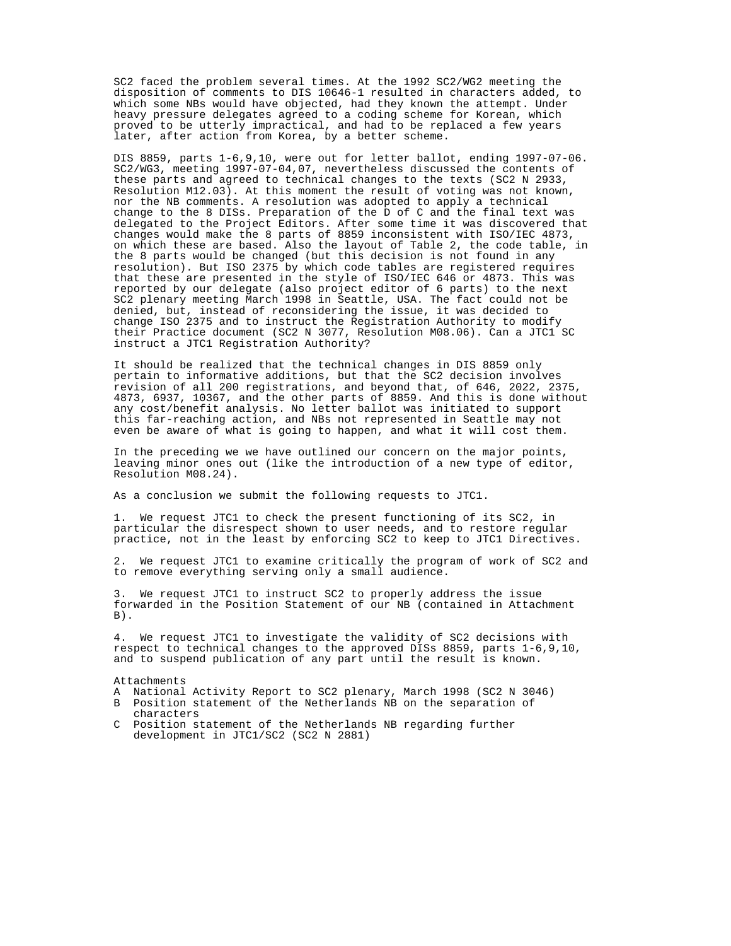SC2 faced the problem several times. At the 1992 SC2/WG2 meeting the disposition of comments to DIS 10646-1 resulted in characters added, to which some NBs would have objected, had they known the attempt. Under heavy pressure delegates agreed to a coding scheme for Korean, which proved to be utterly impractical, and had to be replaced a few years later, after action from Korea, by a better scheme.

DIS 8859, parts 1-6,9,10, were out for letter ballot, ending 1997-07-06. SC2/WG3, meeting 1997-07-04,07, nevertheless discussed the contents of these parts and agreed to technical changes to the texts (SC2 N 2933, Resolution M12.03). At this moment the result of voting was not known, nor the NB comments. A resolution was adopted to apply a technical change to the 8 DISs. Preparation of the D of C and the final text was delegated to the Project Editors. After some time it was discovered that changes would make the 8 parts of 8859 inconsistent with ISO/IEC 4873, on which these are based. Also the layout of Table 2, the code table, in the 8 parts would be changed (but this decision is not found in any resolution). But ISO 2375 by which code tables are registered requires that these are presented in the style of ISO/IEC 646 or 4873. This was reported by our delegate (also project editor of 6 parts) to the next SC2 plenary meeting March 1998 in Seattle, USA. The fact could not be denied, but, instead of reconsidering the issue, it was decided to change ISO 2375 and to instruct the Registration Authority to modify their Practice document (SC2 N 3077, Resolution M08.06). Can a JTC1 SC instruct a JTC1 Registration Authority?

It should be realized that the technical changes in DIS 8859 only pertain to informative additions, but that the SC2 decision involves revision of all 200 registrations, and beyond that, of 646, 2022, 2375, 4873, 6937, 10367, and the other parts of 8859. And this is done without any cost/benefit analysis. No letter ballot was initiated to support this far-reaching action, and NBs not represented in Seattle may not even be aware of what is going to happen, and what it will cost them.

In the preceding we we have outlined our concern on the major points, leaving minor ones out (like the introduction of a new type of editor, Resolution M08.24).

As a conclusion we submit the following requests to JTC1.

1. We request JTC1 to check the present functioning of its SC2, in particular the disrespect shown to user needs, and to restore regular practice, not in the least by enforcing SC2 to keep to JTC1 Directives.

2. We request JTC1 to examine critically the program of work of SC2 and to remove everything serving only a small audience.

3. We request JTC1 to instruct SC2 to properly address the issue forwarded in the Position Statement of our NB (contained in Attachment  $B)$ .

4. We request JTC1 to investigate the validity of SC2 decisions with respect to technical changes to the approved DISs 8859, parts 1-6,9,10, and to suspend publication of any part until the result is known.

Attachments

- A National Activity Report to SC2 plenary, March 1998 (SC2 N 3046) B Position statement of the Netherlands NB on the separation of characters
- C Position statement of the Netherlands NB regarding further development in JTC1/SC2 (SC2 N 2881)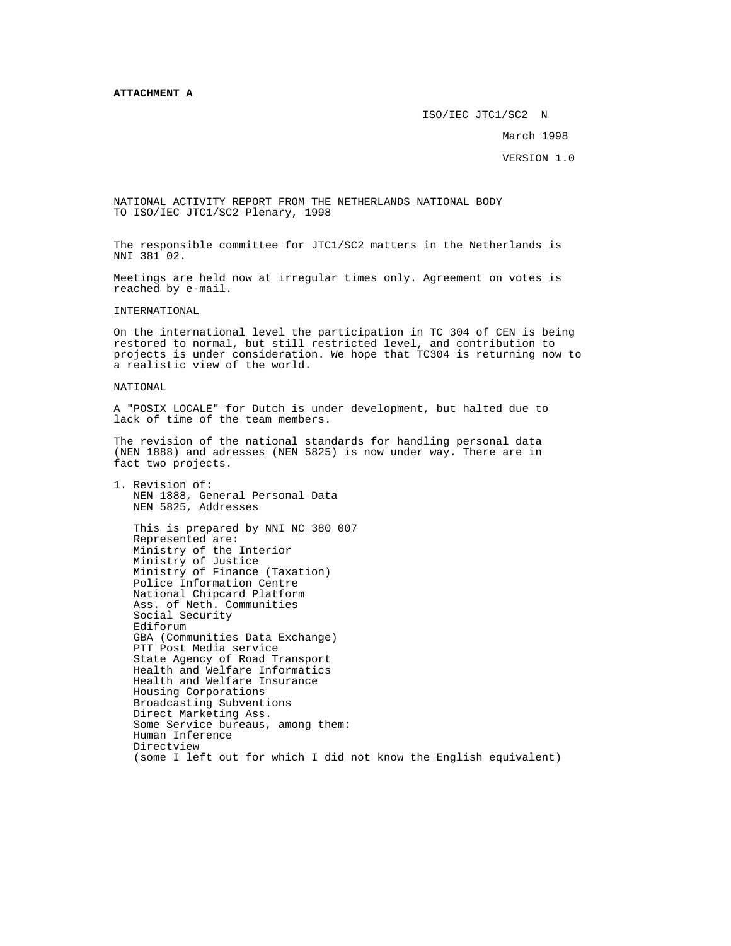ISO/IEC JTC1/SC2 N

March 1998

VERSION 1.0

NATIONAL ACTIVITY REPORT FROM THE NETHERLANDS NATIONAL BODY TO ISO/IEC JTC1/SC2 Plenary, 1998

The responsible committee for JTC1/SC2 matters in the Netherlands is NNI 381 02.

Meetings are held now at irregular times only. Agreement on votes is reached by e-mail.

INTERNATIONAL

On the international level the participation in TC 304 of CEN is being restored to normal, but still restricted level, and contribution to projects is under consideration. We hope that TC304 is returning now to a realistic view of the world.

## NATIONAL

A "POSIX LOCALE" for Dutch is under development, but halted due to lack of time of the team members.

The revision of the national standards for handling personal data (NEN 1888) and adresses (NEN 5825) is now under way. There are in fact two projects.

1. Revision of: NEN 1888, General Personal Data NEN 5825, Addresses

 This is prepared by NNI NC 380 007 Represented are: Ministry of the Interior Ministry of Justice Ministry of Finance (Taxation) Police Information Centre National Chipcard Platform Ass. of Neth. Communities Social Security Ediforum GBA (Communities Data Exchange) PTT Post Media service State Agency of Road Transport Health and Welfare Informatics Health and Welfare Insurance Housing Corporations Broadcasting Subventions Direct Marketing Ass. Some Service bureaus, among them: Human Inference Directview (some I left out for which I did not know the English equivalent)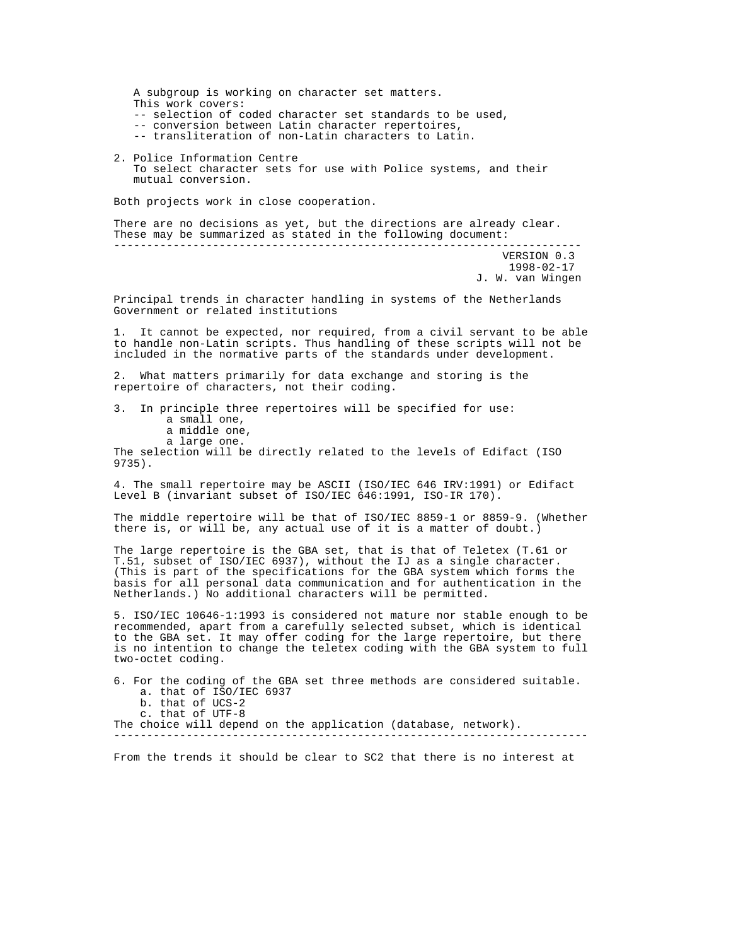A subgroup is working on character set matters. This work covers: -- selection of coded character set standards to be used, -- conversion between Latin character repertoires, -- transliteration of non-Latin characters to Latin.

2. Police Information Centre To select character sets for use with Police systems, and their mutual conversion.

Both projects work in close cooperation.

There are no decisions as yet, but the directions are already clear. These may be summarized as stated in the following document: -----------------------------------------------------------------------

> VERSION 0.3 1998-02-17 J. W. van Wingen

Principal trends in character handling in systems of the Netherlands Government or related institutions

1. It cannot be expected, nor required, from a civil servant to be able to handle non-Latin scripts. Thus handling of these scripts will not be included in the normative parts of the standards under development.

2. What matters primarily for data exchange and storing is the repertoire of characters, not their coding.

3. In principle three repertoires will be specified for use: a small one, a middle one, a large one. The selection will be directly related to the levels of Edifact (ISO 9735).

4. The small repertoire may be ASCII (ISO/IEC 646 IRV:1991) or Edifact Level B (invariant subset of ISO/IEC 646:1991, ISO-IR 170).

The middle repertoire will be that of ISO/IEC 8859-1 or 8859-9. (Whether there is, or will be, any actual use of it is a matter of doubt.)

The large repertoire is the GBA set, that is that of Teletex (T.61 or T.51, subset of ISO/IEC 6937), without the IJ as a single character. (This is part of the specifications for the GBA system which forms the basis for all personal data communication and for authentication in the Netherlands.) No additional characters will be permitted.

5. ISO/IEC 10646-1:1993 is considered not mature nor stable enough to be recommended, apart from a carefully selected subset, which is identical to the GBA set. It may offer coding for the large repertoire, but there is no intention to change the teletex coding with the GBA system to full two-octet coding.

6. For the coding of the GBA set three methods are considered suitable. a. that of ISO/IEC 6937 b. that of UCS-2 c. that of UTF-8 The choice will depend on the application (database, network). ------------------------------------------------------------------------

From the trends it should be clear to SC2 that there is no interest at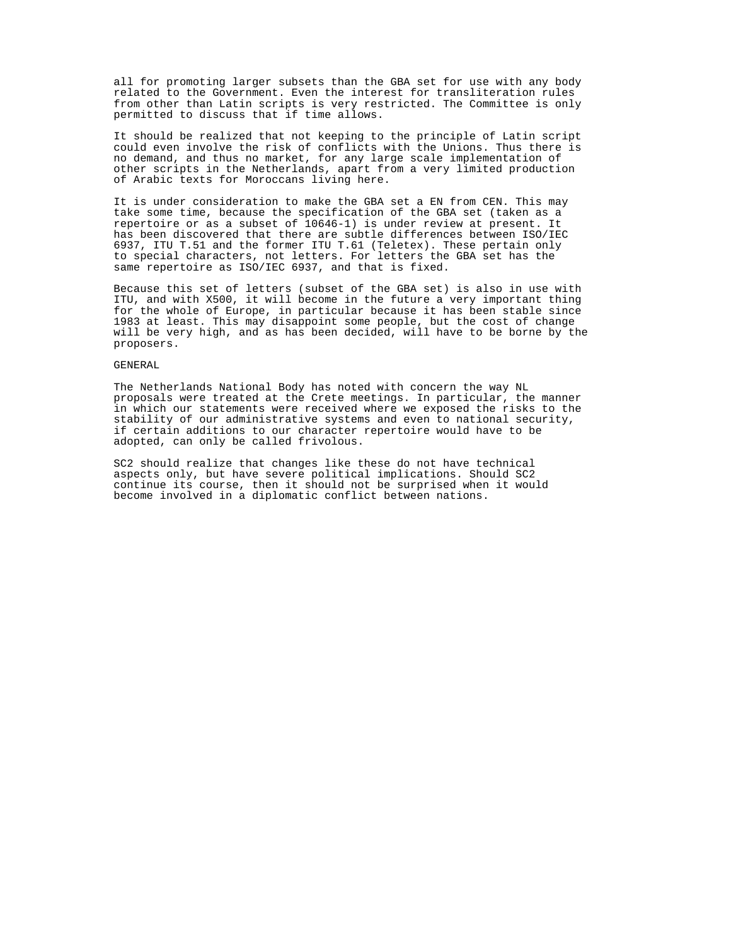all for promoting larger subsets than the GBA set for use with any body related to the Government. Even the interest for transliteration rules from other than Latin scripts is very restricted. The Committee is only permitted to discuss that if time allows.

It should be realized that not keeping to the principle of Latin script could even involve the risk of conflicts with the Unions. Thus there is no demand, and thus no market, for any large scale implementation of other scripts in the Netherlands, apart from a very limited production of Arabic texts for Moroccans living here.

It is under consideration to make the GBA set a EN from CEN. This may take some time, because the specification of the GBA set (taken as a repertoire or as a subset of 10646-1) is under review at present. It has been discovered that there are subtle differences between ISO/IEC 6937, ITU T.51 and the former ITU T.61 (Teletex). These pertain only to special characters, not letters. For letters the GBA set has the same repertoire as ISO/IEC 6937, and that is fixed.

Because this set of letters (subset of the GBA set) is also in use with ITU, and with X500, it will become in the future a very important thing for the whole of Europe, in particular because it has been stable since 1983 at least. This may disappoint some people, but the cost of change will be very high, and as has been decided, will have to be borne by the proposers.

# GENERAL

The Netherlands National Body has noted with concern the way NL proposals were treated at the Crete meetings. In particular, the manner in which our statements were received where we exposed the risks to the stability of our administrative systems and even to national security, if certain additions to our character repertoire would have to be adopted, can only be called frivolous.

SC2 should realize that changes like these do not have technical aspects only, but have severe political implications. Should SC2 continue its course, then it should not be surprised when it would become involved in a diplomatic conflict between nations.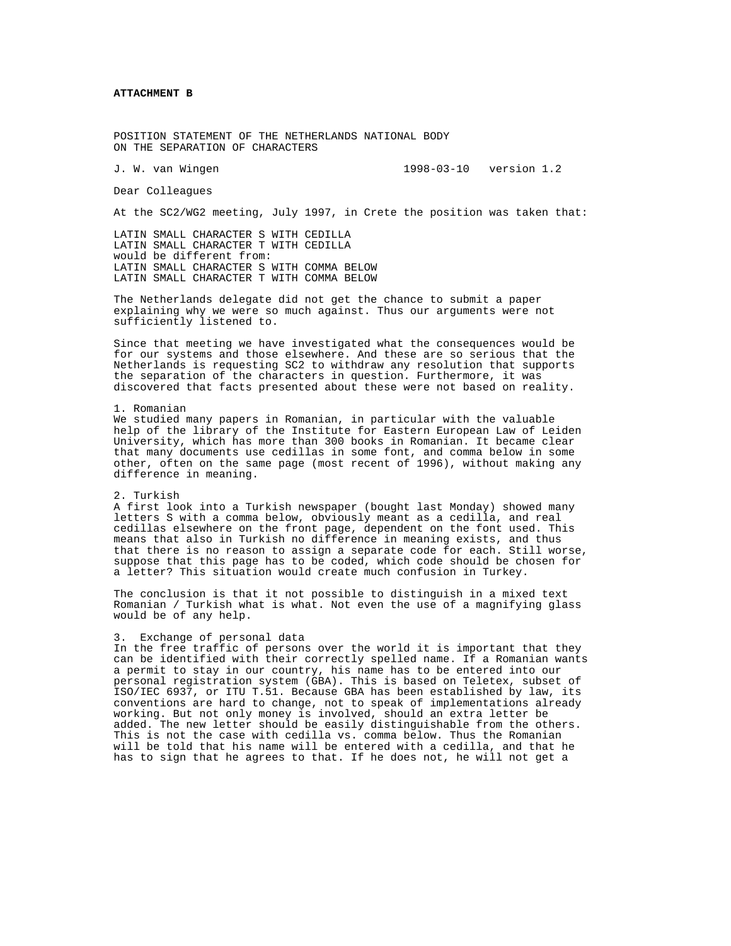# **ATTACHMENT B**

POSITION STATEMENT OF THE NETHERLANDS NATIONAL BODY ON THE SEPARATION OF CHARACTERS

J. W. van Wingen 1998-03-10 version 1.2

Dear Colleagues

At the SC2/WG2 meeting, July 1997, in Crete the position was taken that:

LATIN SMALL CHARACTER S WITH CEDILLA LATIN SMALL CHARACTER T WITH CEDILLA would be different from: LATIN SMALL CHARACTER S WITH COMMA BELOW LATIN SMALL CHARACTER T WITH COMMA BELOW

The Netherlands delegate did not get the chance to submit a paper explaining why we were so much against. Thus our arguments were not sufficiently listened to.

Since that meeting we have investigated what the consequences would be for our systems and those elsewhere. And these are so serious that the Netherlands is requesting SC2 to withdraw any resolution that supports the separation of the characters in question. Furthermore, it was discovered that facts presented about these were not based on reality.

### 1. Romanian

We studied many papers in Romanian, in particular with the valuable help of the library of the Institute for Eastern European Law of Leiden University, which has more than 300 books in Romanian. It became clear that many documents use cedillas in some font, and comma below in some other, often on the same page (most recent of 1996), without making any difference in meaning.

# 2. Turkish

A first look into a Turkish newspaper (bought last Monday) showed many letters S with a comma below, obviously meant as a cedilla, and real cedillas elsewhere on the front page, dependent on the font used. This means that also in Turkish no difference in meaning exists, and thus that there is no reason to assign a separate code for each. Still worse, suppose that this page has to be coded, which code should be chosen for a letter? This situation would create much confusion in Turkey.

The conclusion is that it not possible to distinguish in a mixed text Romanian / Turkish what is what. Not even the use of a magnifying glass would be of any help.

# 3. Exchange of personal data

In the free traffic of persons over the world it is important that they can be identified with their correctly spelled name. If a Romanian wants a permit to stay in our country, his name has to be entered into our personal registration system (GBA). This is based on Teletex, subset of ISO/IEC 6937, or ITU T.51. Because GBA has been established by law, its conventions are hard to change, not to speak of implementations already working. But not only money is involved, should an extra letter be added. The new letter should be easily distinguishable from the others. This is not the case with cedilla vs. comma below. Thus the Romanian will be told that his name will be entered with a cedilla, and that he has to sign that he agrees to that. If he does not, he will not get a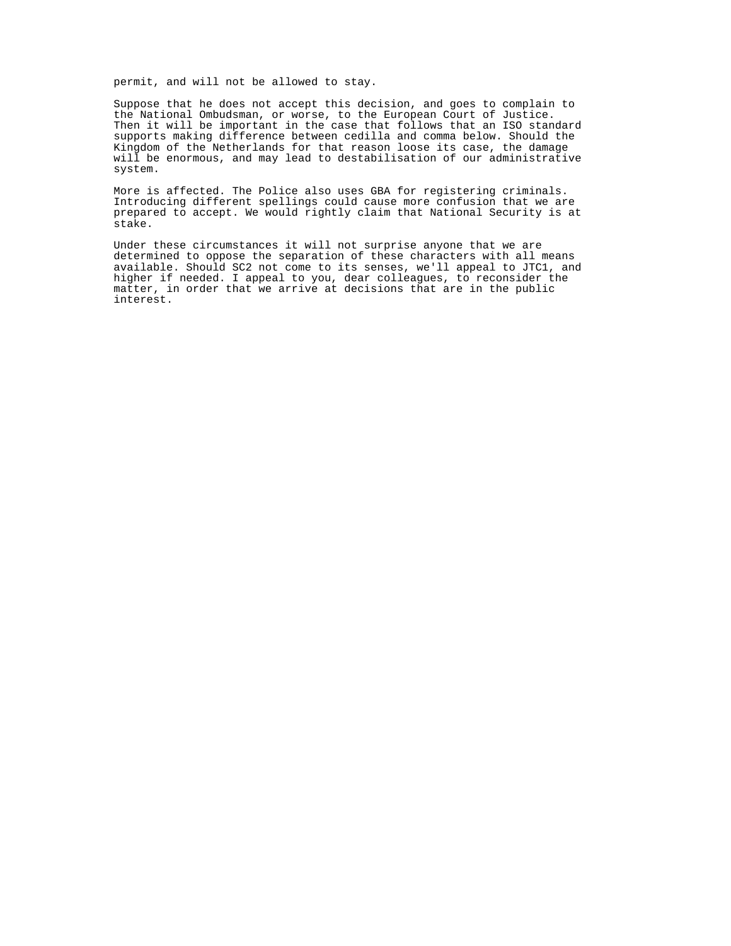permit, and will not be allowed to stay.

Suppose that he does not accept this decision, and goes to complain to the National Ombudsman, or worse, to the European Court of Justice. Then it will be important in the case that follows that an ISO standard supports making difference between cedilla and comma below. Should the Kingdom of the Netherlands for that reason loose its case, the damage will be enormous, and may lead to destabilisation of our administrative system.

More is affected. The Police also uses GBA for registering criminals. Introducing different spellings could cause more confusion that we are prepared to accept. We would rightly claim that National Security is at stake.

Under these circumstances it will not surprise anyone that we are determined to oppose the separation of these characters with all means available. Should SC2 not come to its senses, we'll appeal to JTC1, and higher if needed. I appeal to you, dear colleagues, to reconsider the matter, in order that we arrive at decisions that are in the public interest.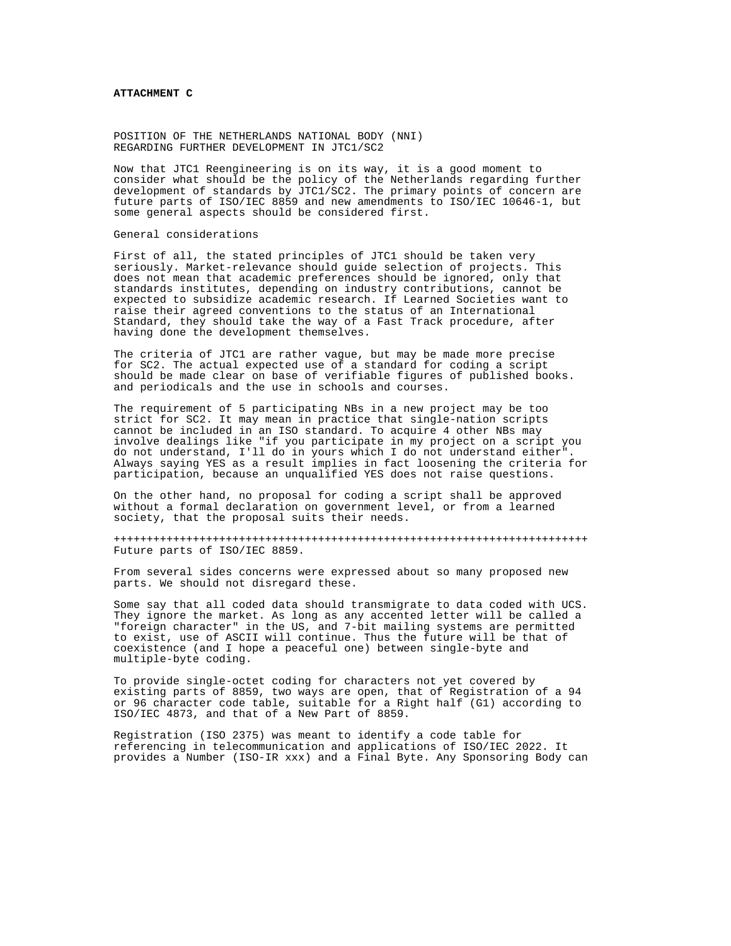# **ATTACHMENT C**

POSITION OF THE NETHERLANDS NATIONAL BODY (NNI) REGARDING FURTHER DEVELOPMENT IN JTC1/SC2

Now that JTC1 Reengineering is on its way, it is a good moment to consider what should be the policy of the Netherlands regarding further development of standards by JTC1/SC2. The primary points of concern are future parts of ISO/IEC 8859 and new amendments to ISO/IEC 10646-1, but some general aspects should be considered first.

# General considerations

First of all, the stated principles of JTC1 should be taken very seriously. Market-relevance should guide selection of projects. This does not mean that academic preferences should be ignored, only that standards institutes, depending on industry contributions, cannot be expected to subsidize academic research. If Learned Societies want to raise their agreed conventions to the status of an International Standard, they should take the way of a Fast Track procedure, after having done the development themselves.

The criteria of JTC1 are rather vague, but may be made more precise for SC2. The actual expected use of a standard for coding a script should be made clear on base of verifiable figures of published books. and periodicals and the use in schools and courses.

The requirement of 5 participating NBs in a new project may be too strict for SC2. It may mean in practice that single-nation scripts cannot be included in an ISO standard. To acquire 4 other NBs may involve dealings like "if you participate in my project on a script you do not understand, I'll do in yours which I do not understand either". Always saying YES as a result implies in fact loosening the criteria for participation, because an unqualified YES does not raise questions.

On the other hand, no proposal for coding a script shall be approved without a formal declaration on government level, or from a learned society, that the proposal suits their needs.

++++++++++++++++++++++++++++++++++++++++++++++++++++++++++++++++++++++++ Future parts of ISO/IEC 8859.

From several sides concerns were expressed about so many proposed new parts. We should not disregard these.

Some say that all coded data should transmigrate to data coded with UCS. They ignore the market. As long as any accented letter will be called a "foreign character" in the US, and 7-bit mailing systems are permitted to exist, use of ASCII will continue. Thus the future will be that of coexistence (and I hope a peaceful one) between single-byte and multiple-byte coding.

To provide single-octet coding for characters not yet covered by existing parts of 8859, two ways are open, that of Registration of a 94 or 96 character code table, suitable for a Right half (G1) according to ISO/IEC 4873, and that of a New Part of 8859.

Registration (ISO 2375) was meant to identify a code table for referencing in telecommunication and applications of ISO/IEC 2022. It provides a Number (ISO-IR xxx) and a Final Byte. Any Sponsoring Body can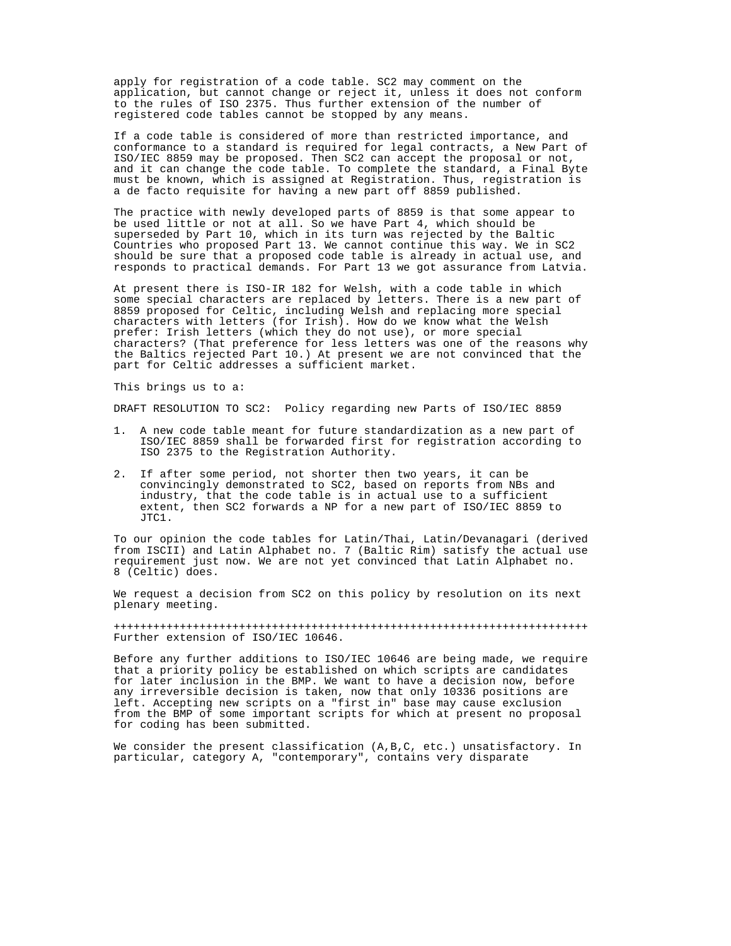apply for registration of a code table. SC2 may comment on the application, but cannot change or reject it, unless it does not conform to the rules of ISO 2375. Thus further extension of the number of registered code tables cannot be stopped by any means.

If a code table is considered of more than restricted importance, and conformance to a standard is required for legal contracts, a New Part of ISO/IEC 8859 may be proposed. Then SC2 can accept the proposal or not, and it can change the code table. To complete the standard, a Final Byte must be known, which is assigned at Registration. Thus, registration is a de facto requisite for having a new part off 8859 published.

The practice with newly developed parts of 8859 is that some appear to be used little or not at all. So we have Part 4, which should be superseded by Part 10, which in its turn was rejected by the Baltic Countries who proposed Part 13. We cannot continue this way. We in SC2 should be sure that a proposed code table is already in actual use, and responds to practical demands. For Part 13 we got assurance from Latvia.

At present there is ISO-IR 182 for Welsh, with a code table in which some special characters are replaced by letters. There is a new part of 8859 proposed for Celtic, including Welsh and replacing more special characters with letters (for Irish). How do we know what the Welsh prefer: Irish letters (which they do not use), or more special characters? (That preference for less letters was one of the reasons why the Baltics rejected Part 10.) At present we are not convinced that the part for Celtic addresses a sufficient market.

This brings us to a:

DRAFT RESOLUTION TO SC2: Policy regarding new Parts of ISO/IEC 8859

- 1. A new code table meant for future standardization as a new part of ISO/IEC 8859 shall be forwarded first for registration according to ISO 2375 to the Registration Authority.
- 2. If after some period, not shorter then two years, it can be convincingly demonstrated to SC2, based on reports from NBs and industry, that the code table is in actual use to a sufficient extent, then SC2 forwards a NP for a new part of ISO/IEC 8859 to JTC1.

To our opinion the code tables for Latin/Thai, Latin/Devanagari (derived from ISCII) and Latin Alphabet no. 7 (Baltic Rim) satisfy the actual use requirement just now. We are not yet convinced that Latin Alphabet no. 8 (Celtic) does.

We request a decision from SC2 on this policy by resolution on its next plenary meeting.

++++++++++++++++++++++++++++++++++++++++++++++++++++++++++++++++++++++++ Further extension of ISO/IEC 10646.

Before any further additions to ISO/IEC 10646 are being made, we require that a priority policy be established on which scripts are candidates for later inclusion in the BMP. We want to have a decision now, before any irreversible decision is taken, now that only 10336 positions are left. Accepting new scripts on a "first in" base may cause exclusion from the BMP of some important scripts for which at present no proposal for coding has been submitted.

We consider the present classification (A,B,C, etc.) unsatisfactory. In particular, category A, "contemporary", contains very disparate